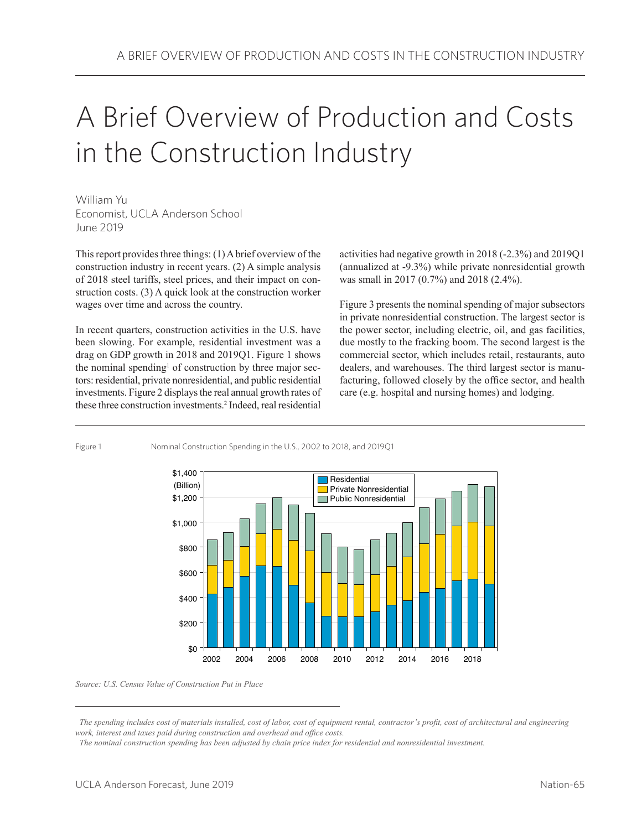# A Brief Overview of Production and Costs in the Construction Industry

William Yu Economist, UCLA Anderson School June 2019

This report provides three things: (1) A brief overview of the construction industry in recent years. (2) A simple analysis of 2018 steel tariffs, steel prices, and their impact on construction costs. (3) A quick look at the construction worker wages over time and across the country.

In recent quarters, construction activities in the U.S. have been slowing. For example, residential investment was a drag on GDP growth in 2018 and 2019Q1. Figure 1 shows the nominal spending<sup>1</sup> of construction by three major sectors: residential, private nonresidential, and public residential investments. Figure 2 displays the real annual growth rates of these three construction investments.2 Indeed, real residential activities had negative growth in 2018 (-2.3%) and 2019Q1 (annualized at -9.3%) while private nonresidential growth was small in 2017 (0.7%) and 2018 (2.4%).

Figure 3 presents the nominal spending of major subsectors in private nonresidential construction. The largest sector is the power sector, including electric, oil, and gas facilities, due mostly to the fracking boom. The second largest is the commercial sector, which includes retail, restaurants, auto dealers, and warehouses. The third largest sector is manufacturing, followed closely by the office sector, and health care (e.g. hospital and nursing homes) and lodging.

Figure 1 Nominal Construction Spending in the U.S., 2002 to 2018, and 2019Q1



*Source: U.S. Census Value of Construction Put in Place*

*The spending includes cost of materials installed, cost of labor, cost of equipment rental, contractor's profit, cost of architectural and engineering work, interest and taxes paid during construction and overhead and office costs.*

*The nominal construction spending has been adjusted by chain price index for residential and nonresidential investment.*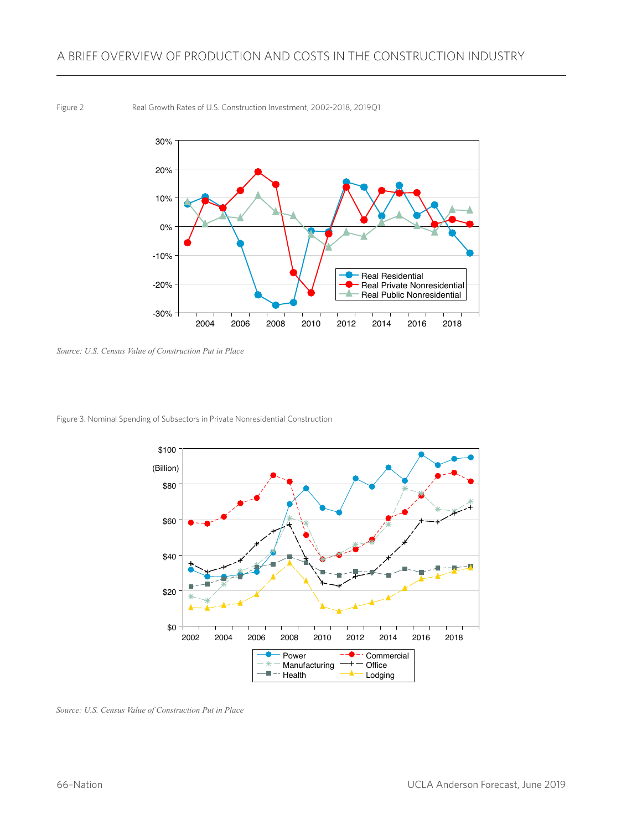#### Figure 2 Real Growth Rates of U.S. Construction Investment, 2002-2018, 2019Q1



*Source: U.S. Census Value of Construction Put in Place*

Figure 3. Nominal Spending of Subsectors in Private Nonresidential Construction



*Source: U.S. Census Value of Construction Put in Place*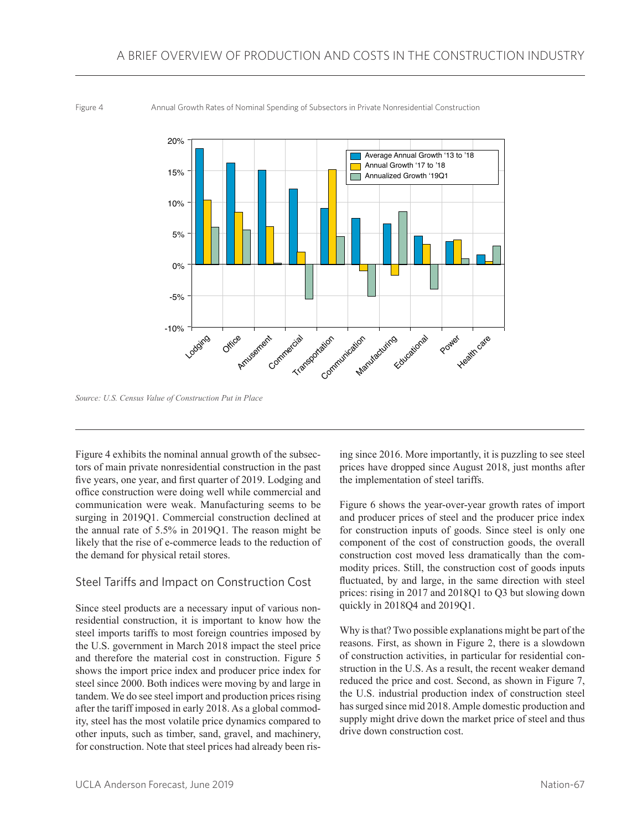Figure 4 Annual Growth Rates of Nominal Spending of Subsectors in Private Nonresidential Construction



*Source: U.S. Census Value of Construction Put in Place*

Figure 4 exhibits the nominal annual growth of the subsectors of main private nonresidential construction in the past five years, one year, and first quarter of 2019. Lodging and office construction were doing well while commercial and communication were weak. Manufacturing seems to be surging in 2019Q1. Commercial construction declined at the annual rate of 5.5% in 2019Q1. The reason might be likely that the rise of e-commerce leads to the reduction of the demand for physical retail stores.

### Steel Tariffs and Impact on Construction Cost

Since steel products are a necessary input of various nonresidential construction, it is important to know how the steel imports tariffs to most foreign countries imposed by the U.S. government in March 2018 impact the steel price and therefore the material cost in construction. Figure 5 shows the import price index and producer price index for steel since 2000. Both indices were moving by and large in tandem. We do see steel import and production prices rising after the tariff imposed in early 2018. As a global commodity, steel has the most volatile price dynamics compared to other inputs, such as timber, sand, gravel, and machinery, for construction. Note that steel prices had already been rising since 2016. More importantly, it is puzzling to see steel prices have dropped since August 2018, just months after the implementation of steel tariffs.

Figure 6 shows the year-over-year growth rates of import and producer prices of steel and the producer price index for construction inputs of goods. Since steel is only one component of the cost of construction goods, the overall construction cost moved less dramatically than the commodity prices. Still, the construction cost of goods inputs fluctuated, by and large, in the same direction with steel prices: rising in 2017 and 2018Q1 to Q3 but slowing down quickly in 2018Q4 and 2019Q1.

Why is that? Two possible explanations might be part of the reasons. First, as shown in Figure 2, there is a slowdown of construction activities, in particular for residential construction in the U.S. As a result, the recent weaker demand reduced the price and cost. Second, as shown in Figure 7, the U.S. industrial production index of construction steel has surged since mid 2018. Ample domestic production and supply might drive down the market price of steel and thus drive down construction cost.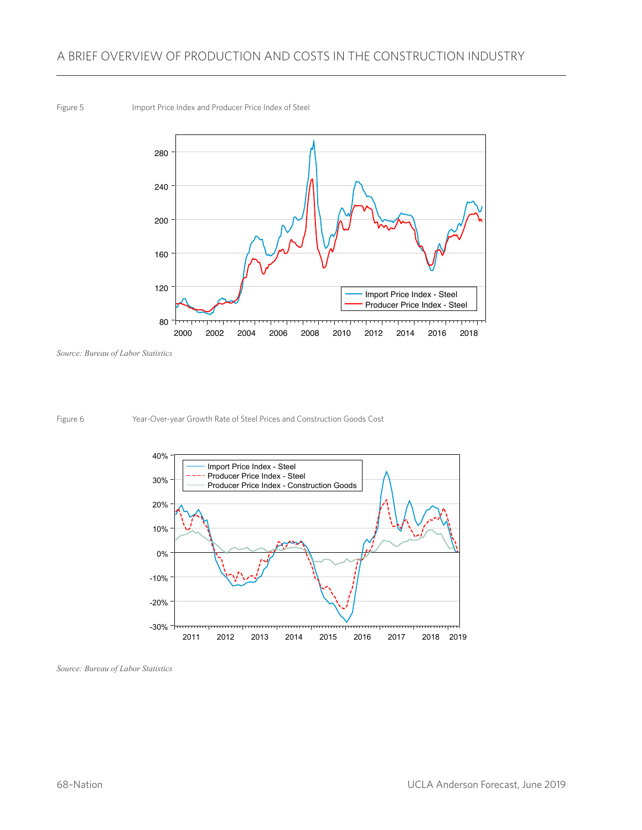## A BRIEF OVERVIEW OF PRODUCTION AND COSTS IN THE CONSTRUCTION INDUSTRY

#### Figure 5 **Import Price Index and Producer Price Index of Steel**



*Source: Bureau of Labor Statistics* 

Figure 6 Year-Over-year Growth Rate of Steel Prices and Construction Goods Cost



*Source: Bureau of Labor Statistics*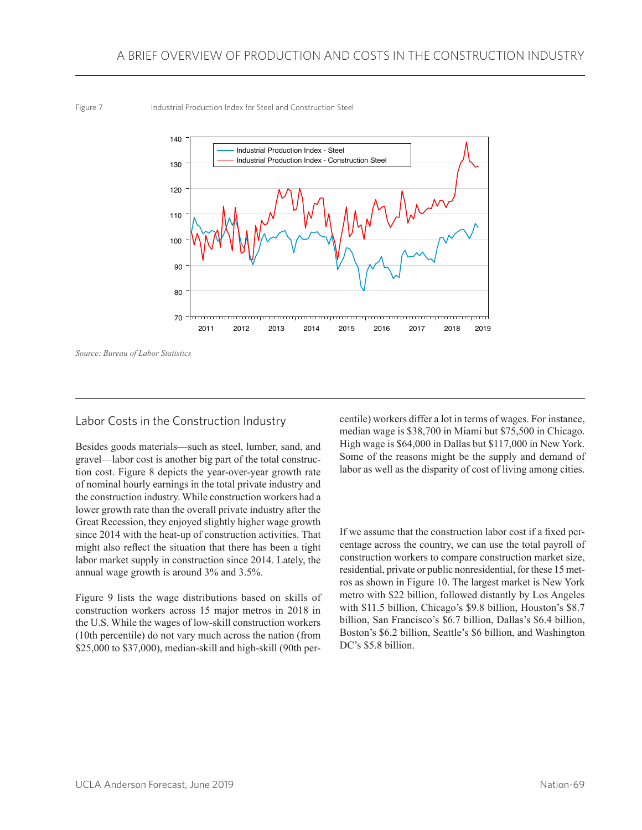Figure 7 Industrial Production Index for Steel and Construction Steel



*Source: Bureau of Labor Statistics* 

### Labor Costs in the Construction Industry

Besides goods materials—such as steel, lumber, sand, and gravel—labor cost is another big part of the total construction cost. Figure 8 depicts the year-over-year growth rate of nominal hourly earnings in the total private industry and the construction industry. While construction workers had a lower growth rate than the overall private industry after the Great Recession, they enjoyed slightly higher wage growth since 2014 with the heat-up of construction activities. That might also reflect the situation that there has been a tight labor market supply in construction since 2014. Lately, the annual wage growth is around 3% and 3.5%.

Figure 9 lists the wage distributions based on skills of construction workers across 15 major metros in 2018 in the U.S. While the wages of low-skill construction workers (10th percentile) do not vary much across the nation (from \$25,000 to \$37,000), median-skill and high-skill (90th percentile) workers differ a lot in terms of wages. For instance, median wage is \$38,700 in Miami but \$75,500 in Chicago. High wage is \$64,000 in Dallas but \$117,000 in New York. Some of the reasons might be the supply and demand of labor as well as the disparity of cost of living among cities.

If we assume that the construction labor cost if a fixed percentage across the country, we can use the total payroll of construction workers to compare construction market size, residential, private or public nonresidential, for these 15 metros as shown in Figure 10. The largest market is New York metro with \$22 billion, followed distantly by Los Angeles with \$11.5 billion, Chicago's \$9.8 billion, Houston's \$8.7 billion, San Francisco's \$6.7 billion, Dallas's \$6.4 billion, Boston's \$6.2 billion, Seattle's \$6 billion, and Washington DC's \$5.8 billion.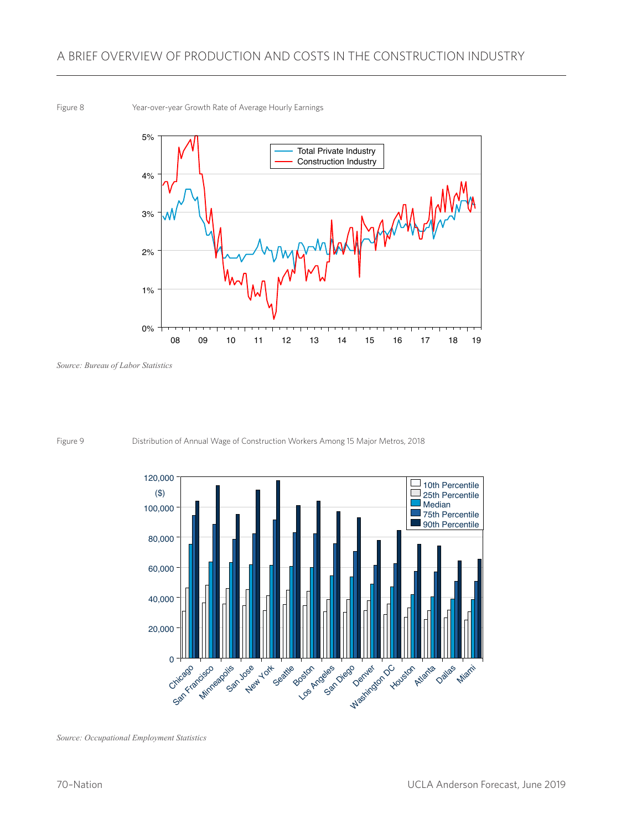Figure 8 Year-over-year Growth Rate of Average Hourly Earnings



*Source: Bureau of Labor Statistics* 



Figure 9 Distribution of Annual Wage of Construction Workers Among 15 Major Metros, 2018

*Source: Occupational Employment Statistics*